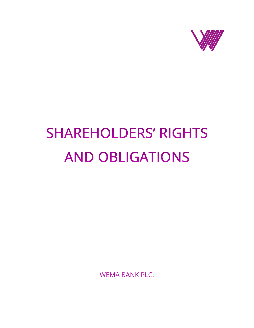

# **SHAREHOLDERS' RIGHTS AND OBLIGATIONS**

WEMA BANK PLC.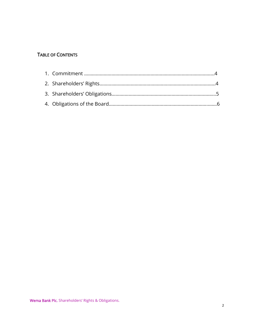## TABLE OF CONTENTS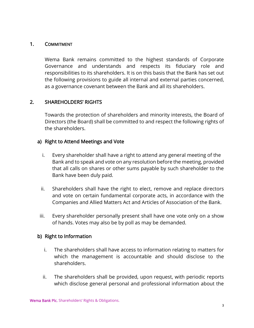#### 1. COMMITMENT

Wema Bank remains committed to the highest standards of Corporate Governance and understands and respects its fiduciary role and responsibilities to its shareholders. It is on this basis that the Bank has set out the following provisions to guide all internal and external parties concerned, as a governance covenant between the Bank and all its shareholders.

## 2. SHAREHOLDERS' RIGHTS

Towards the protection of shareholders and minority interests, the Board of Directors (the Board) shall be committed to and respect the following rights of the shareholders.

#### a) Right to Attend Meetings and Vote

- i. Every shareholder shall have a right to attend any general meeting of the Bank and to speak and vote on any resolution before the meeting, provided that all calls on shares or other sums payable by such shareholder to the Bank have been duly paid.
- ii. Shareholders shall have the right to elect, remove and replace directors and vote on certain fundamental corporate acts, in accordance with the Companies and Allied Matters Act and Articles of Association of the Bank.
- iii. Every shareholder personally present shall have one vote only on a show of hands. Votes may also be by poll as may be demanded.

#### b) Right to Information

- i. The shareholders shall have access to information relating to matters for which the management is accountable and should disclose to the shareholders.
- ii. The shareholders shall be provided, upon request, with periodic reports which disclose general personal and professional information about the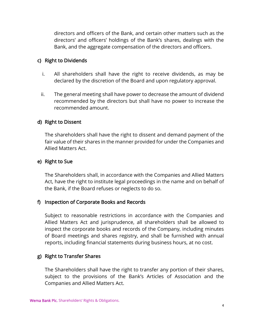directors and officers of the Bank, and certain other matters such as the directors' and officers' holdings of the Bank's shares, dealings with the Bank, and the aggregate compensation of the directors and officers.

#### c) Right to Dividends

- i. All shareholders shall have the right to receive dividends, as may be declared by the discretion of the Board and upon regulatory approval.
- ii. The general meeting shall have power to decrease the amount of dividend recommended by the directors but shall have no power to increase the recommended amount.

#### d) Right to Dissent

The shareholders shall have the right to dissent and demand payment of the fair value of their shares in the manner provided for under the Companies and Allied Matters Act.

#### e) Right to Sue

The Shareholders shall, in accordance with the Companies and Allied Matters Act, have the right to institute legal proceedings in the name and on behalf of the Bank, if the Board refuses or neglects to do so.

#### f) Inspection of Corporate Books and Records

Subject to reasonable restrictions in accordance with the Companies and Allied Matters Act and jurisprudence, all shareholders shall be allowed to inspect the corporate books and records of the Company, including minutes of Board meetings and shares registry, and shall be furnished with annual reports, including financial statements during business hours, at no cost.

#### g) Right to Transfer Shares

The Shareholders shall have the right to transfer any portion of their shares, subject to the provisions of the Bank's Articles of Association and the Companies and Allied Matters Act.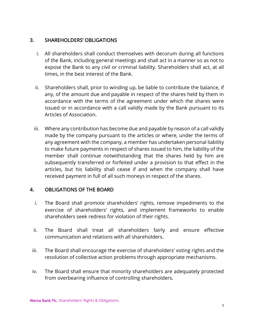## 3. SHAREHOLDERS' OBLIGATIONS

- i. All shareholders shall conduct themselves with decorum during all functions of the Bank, including general meetings and shall act in a manner so as not to expose the Bank to any civil or criminal liability. Shareholders shall act, at all times, in the best interest of the Bank.
- ii. Shareholders shall, prior to winding up, be liable to contribute the balance, if any, of the amount due and payable in respect of the shares held by them in accordance with the terms of the agreement under which the shares were issued or in accordance with a call validly made by the Bank pursuant to its Articles of Association.
- iii. Where any contribution has become due and payable by reason of a call validly made by the company pursuant to the articles or where, under the terms of any agreement with the company, a member has undertaken personal liability to make future payments in respect of shares issued to him, the liability of the member shall continue notwithstanding that the shares held by him are subsequently transferred or forfeited under a provision to that effect in the articles, but his liability shall cease if and when the company shall have received payment in full of all such moneys in respect of the shares.

## 4. OBLIGATIONS OF THE BOARD

- i. The Board shall promote shareholders' rights, remove impediments to the exercise of shareholders' rights, and implement frameworks to enable shareholders seek redress for violation of their rights.
- ii. The Board shall treat all shareholders fairly and ensure effective communication and relations with all shareholders.
- iii. The Board shall encourage the exercise of shareholders' voting rights and the resolution of collective action problems through appropriate mechanisms.
- iv. The Board shall ensure that minority shareholders are adequately protected from overbearing influence of controlling shareholders.